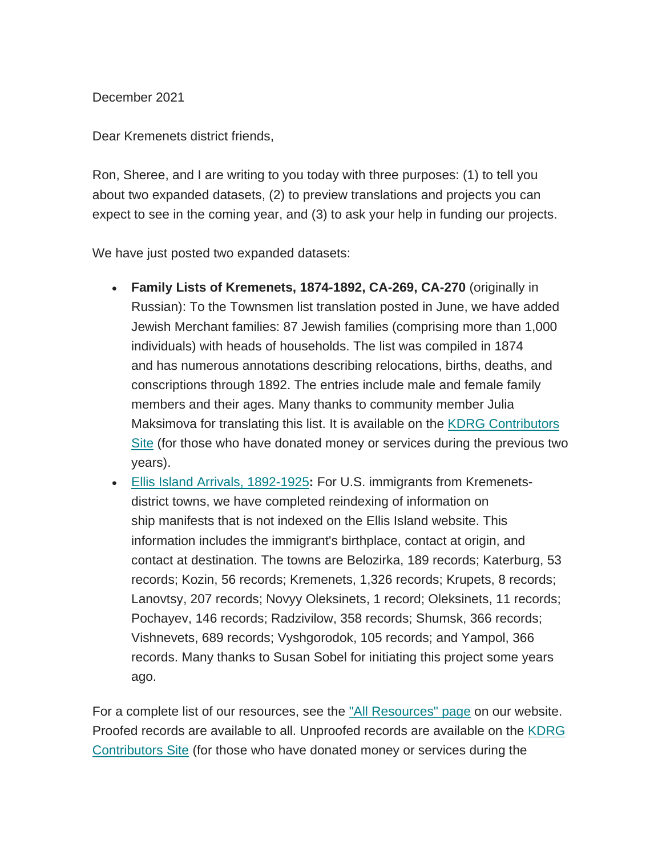December 2021

Dear Kremenets district friends,

Ron, Sheree, and I are writing to you today with three purposes: (1) to tell you about two expanded datasets, (2) to preview translations and projects you can expect to see in the coming year, and (3) to ask your help in funding our projects.

We have just posted two expanded datasets:

- **Family Lists of Kremenets, 1874-1892, CA-269, CA-270** (originally in Russian): To the Townsmen list translation posted in June, we have added Jewish Merchant families: 87 Jewish families (comprising more than 1,000 individuals) with heads of households. The list was compiled in 1874 and has numerous annotations describing relocations, births, deaths, and conscriptions through 1892. The entries include male and female family members and their ages. Many thanks to community member Julia Maksimova for translating this list. It is available on the [KDRG Contributors](https://sites.google.com/site/kdrgcontributors/)  [Site](https://sites.google.com/site/kdrgcontributors/) (for those who have donated money or services during the previous two years).
- [Ellis Island Arrivals, 1892-1925](http://www.kehilalinks.jewishgen.org/Kremenets/web-pages/documents/EIDB/EIDB%20Master.xlsx)**:** For U.S. immigrants from Kremenetsdistrict towns, we have completed reindexing of information on ship manifests that is not indexed on the Ellis Island website. This information includes the immigrant's birthplace, contact at origin, and contact at destination. The towns are Belozirka, 189 records; Katerburg, 53 records; Kozin, 56 records; Kremenets, 1,326 records; Krupets, 8 records; Lanovtsy, 207 records; Novyy Oleksinets, 1 record; Oleksinets, 11 records; Pochayev, 146 records; Radzivilow, 358 records; Shumsk, 366 records; Vishnevets, 689 records; Vyshgorodok, 105 records; and Yampol, 366 records. Many thanks to Susan Sobel for initiating this project some years ago.

For a complete list of our resources, see the ["All Resources" page](https://kehilalinks.jewishgen.org/Kremenets/web-pages/all-resources.html) on our website. Proofed records are available to all. Unproofed records are available on the KDRG [Contributors Site](https://sites.google.com/site/kdrgcontributors/) (for those who have donated money or services during the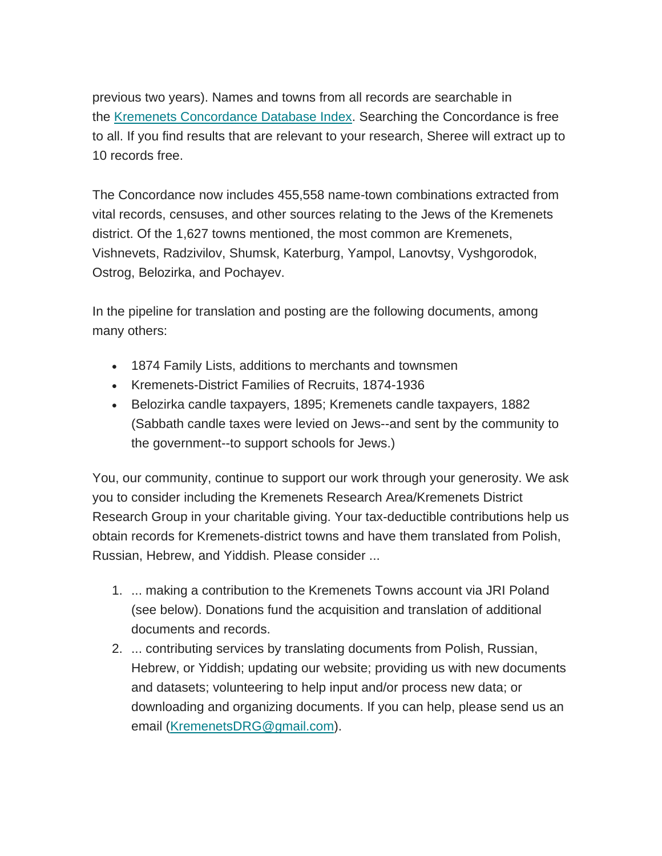previous two years). Names and towns from all records are searchable in the [Kremenets Concordance Database Index.](https://kehilalinks.jewishgen.org/Kremenets/web-pages/database/krem_search_frm.html) Searching the Concordance is free to all. If you find results that are relevant to your research, Sheree will extract up to 10 records free.

The Concordance now includes 455,558 name-town combinations extracted from vital records, censuses, and other sources relating to the Jews of the Kremenets district. Of the 1,627 towns mentioned, the most common are Kremenets, Vishnevets, Radzivilov, Shumsk, Katerburg, Yampol, Lanovtsy, Vyshgorodok, Ostrog, Belozirka, and Pochayev.

In the pipeline for translation and posting are the following documents, among many others:

- 1874 Family Lists, additions to merchants and townsmen
- Kremenets-District Families of Recruits, 1874-1936
- Belozirka candle taxpayers, 1895; Kremenets candle taxpayers, 1882 (Sabbath candle taxes were levied on Jews--and sent by the community to the government--to support schools for Jews.)

You, our community, continue to support our work through your generosity. We ask you to consider including the Kremenets Research Area/Kremenets District Research Group in your charitable giving. Your tax-deductible contributions help us obtain records for Kremenets-district towns and have them translated from Polish, Russian, Hebrew, and Yiddish. Please consider ...

- 1. ... making a contribution to the Kremenets Towns account via JRI Poland (see below). Donations fund the acquisition and translation of additional documents and records.
- 2. ... contributing services by translating documents from Polish, Russian, Hebrew, or Yiddish; updating our website; providing us with new documents and datasets; volunteering to help input and/or process new data; or downloading and organizing documents. If you can help, please send us an email [\(KremenetsDRG@gmail.com\)](mailto:KremenetsDRG@gmail.com).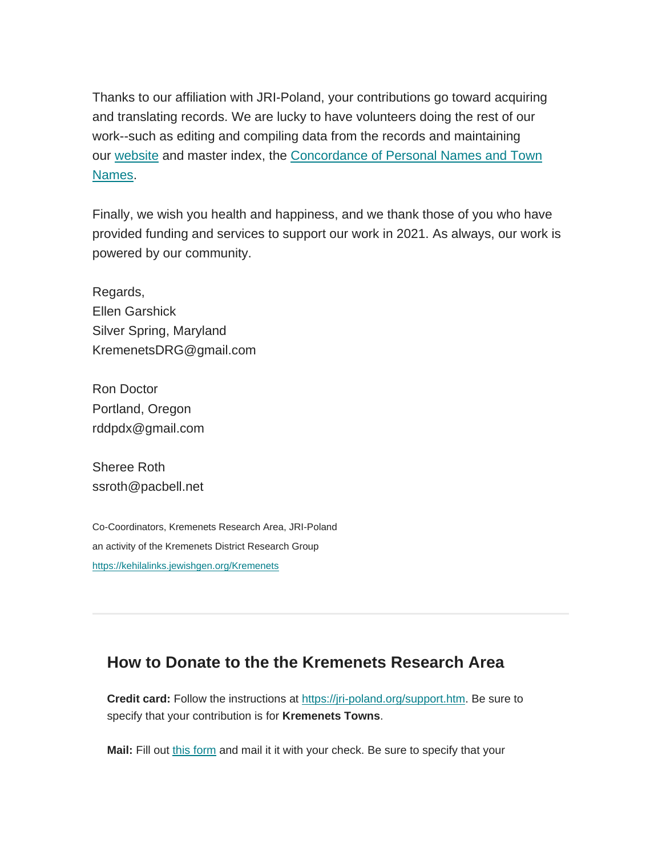Thanks to our affiliation with JRI-Poland, your contributions go toward acquiring and translating records. We are lucky to have volunteers doing the rest of our work--such as editing and compiling data from the records and maintaining our [website](https://kehilalinks.jewishgen.org/Kremenets/web-pages/about-kremenets.html) and master index, the Concordance of Personal Names and Town [Names.](https://kehilalinks.jewishgen.org/Kremenets/web-pages/master-surnames.html)

Finally, we wish you health and happiness, and we thank those of you who have provided funding and services to support our work in 2021. As always, our work is powered by our community.

Regards, Ellen Garshick Silver Spring, Maryland KremenetsDRG@gmail.com

Ron Doctor Portland, Oregon rddpdx@gmail.com

Sheree Roth ssroth@pacbell.net

Co-Coordinators, Kremenets Research Area, JRI-Poland an activity of the Kremenets District Research Group [https://kehilalinks.jewishgen.org/Kremenets](http://kehilalinks.jewishgen.org/Kremenets)

## **How to Donate to the the Kremenets Research Area**

**Credit card:** Follow the instructions at [https://jri-poland.org/support.htm.](http://https/jri-poland.org/support.htm) Be sure to specify that your contribution is for **Kremenets Towns**.

**Mail:** Fill out [this form](https://jri-poland.org/noninternetdonationform.pdf) and mail it it with your check. Be sure to specify that your